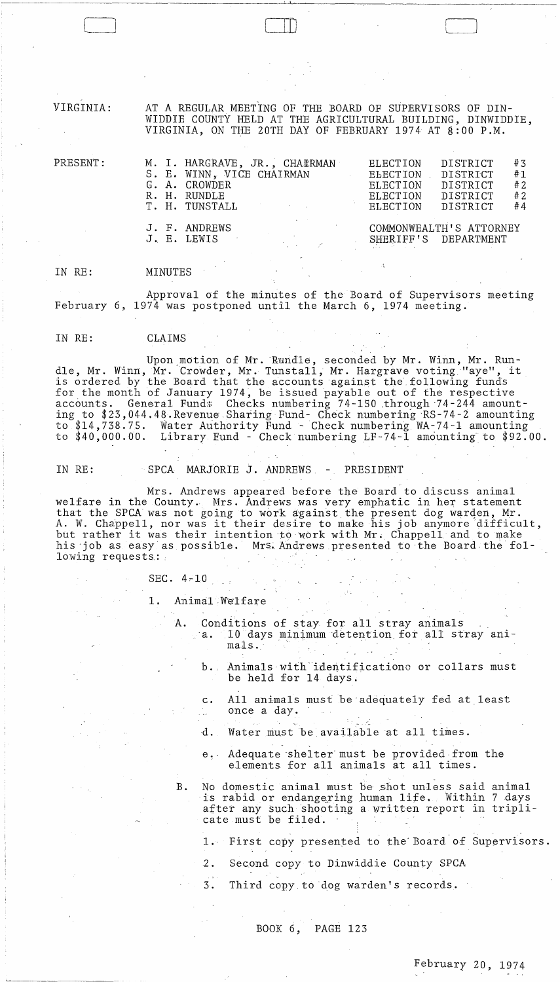VIRGINIA:

AT A REGULAR MEETING OF THE BOARD OF SUPERVISORS OF DIN-WIDDIE COUNTY HELD AT THE AGRICULTURAL BUILDING, DINWIDDIE, VIRGINIA, ON THE 20TH DAY OF FEBRUARY 1974 AT 8:00 P.M.

| M. I. HARGRAVE, JR., CHATRMAN<br>S. E. WINN, VICE CHAIRMAN<br>G. A. CROWDER<br>R. H. RUNDLE<br>T. H. TUNSTALL<br>and the control of the control of | ELECTION<br>ELECTION .<br>ELECTION<br>ELECTION<br>ELECTION | DISTRICT<br>DISTRICT<br><b>DISTRICT</b><br>DISTRICT<br>DISTRICT | #3<br>#1<br>#2<br>#2<br>#4 |
|----------------------------------------------------------------------------------------------------------------------------------------------------|------------------------------------------------------------|-----------------------------------------------------------------|----------------------------|
| J. F. ANDREWS<br>J. E. LEWIS<br>e politika e port                                                                                                  |                                                            | COMMONWEALTH'S ATTORNEY<br>SHERIFF'S DEPARTMENT                 |                            |

IN RE: MINUTES

Approval of the minutes of the Board of Supervisors meeting February 6, 1974 was postponed until the March 6, 1974 meeting.

خبائية

 $\begin{tabular}{|c|c|c|c|} \hline \quad \quad & \quad \quad & \quad \quad \\ \hline \quad \quad & \quad \quad & \quad \quad \\ \hline \quad \quad & \quad \quad & \quad \quad \\ \hline \quad \quad & \quad \quad & \quad \quad \\ \hline \quad \quad & \quad \quad & \quad \quad \\ \hline \quad \quad & \quad \quad & \quad \quad \\ \hline \quad \quad & \quad \quad & \quad \quad \\ \hline \quad \quad & \quad \quad & \quad \quad \\ \hline \quad \quad & \quad \quad & \quad \quad \\ \hline \quad \quad & \quad \quad & \quad \quad \\ \hline \quad \quad & \quad \quad & \quad \quad \\ \hline \quad \$ 

IN RE: CLAIMS

Upon motion of Mr. Rundle, seconded by Mr. Winn, Mr. Run-<br>dle, Mr. Winn, Mr. Crowder, Mr. Tunstall, Mr. Hargrave voting "aye", it is ordered by the Board that the accounts against the following funds for the month of January 1974, be issued payable out of the respective accounts. General Funds Checks numbering 74-150 through 74-244 amounting to \$23,044.48.Revenue Sharing Fund- Check numbering RS-74-2 amounting to \$14,738.75. Water Authority Fund - Check numbering WA-74-l amounting to \$40,000.00. Library. Fund - Check numbering LF-74-l amounting'to \$92.00.

PRESENT:

IN RE: SPCA MARJORIE J. ANDREWS, - PRESIDENT

Mrs. Andrews appeared before tbe Board to discuss animal welfare in the County., Mrs. Andrews was very emphatic in her statement that the SPCA was not going to work against the present dog warden, Mr. that the srth was hot going to work against the present dog warden, Mr.<br>A. W. Chappell, nor was it their desire to make his job anymore difficult, A. W. Chappell, hol was it their desire to make his job anymore difficult his job as easy as possible. Mrs. Andrews presented to the Board the following requests:

### SEC.  $4-10$

1. Animal Welfare

 $\sim 10$ 

- A. Conditions of stay for all stray animals  $_{\circ}$  a.  $10$  days minimum detention for all stray animals.
	- b. Animals with identifications or collars must be held for 14 days.
	- c. All animals must be adequately fed at least once a day.
	- d. Water must be available at all times.
	- e." Adequate 'shelter" must be provided from the elements for all animals at all times.
- B. No domestic animal must be shot unless said animal is rabid or endangering human life. Within 7 days after any such shooting a written report in triplicate must be filed.

1. First copy presented to the Board of Supervisors.

- 2. Second copy to Dinwiddie County SPCA
- 3. Third copy to dog warden's records.

BOOK 6, PAGE 123

February 20, 1974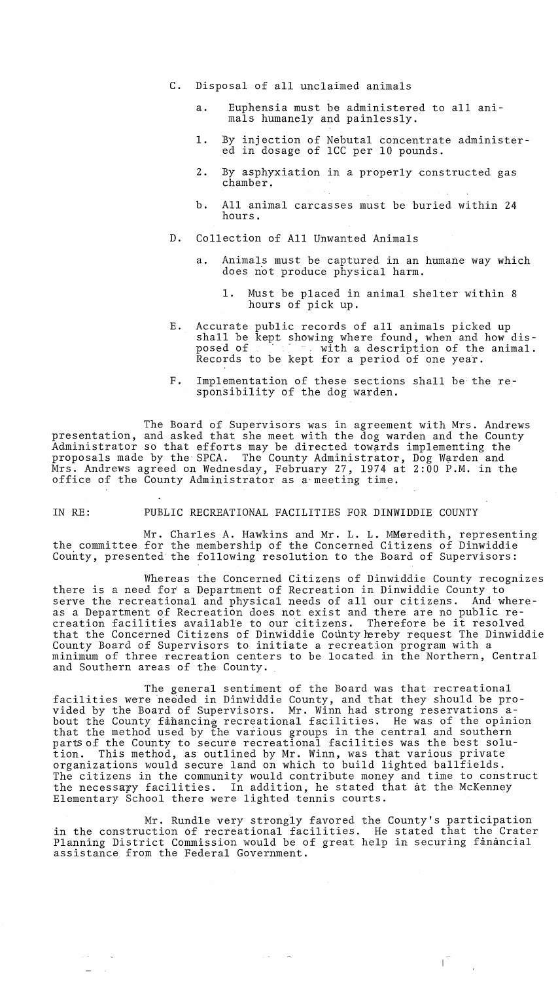- C. Disposal of all unclaimed animals
	- a. Euphensia must be administered to all animals humanely and painlessly.
	- 1. By injection of Nebutal concentrate administered in dosage of ICC per 10 pounds.
	- 2. By asphyxiation in a properly constructed gas chamber.
	- b. All animal carcasses must be buried within 24 hours.
- D. Collection of All Unwanted Animals
	- a. Animals must be captured in an humane way which does not produce physical harm.
		- 1. Must be placed in animal shelter within 8 hours of pick up.
- E. Accurate public records of all animals picked up shall be kept showing where found, when and how dis-<br>posed of posed with a description of the animal. Records to be kept for a period of one year.
- F. Implementation of these sections shall be the responsibility of the dog warden.

The Board of Supervisors was in agreement with Mrs. Andrews presentation, and asked that she meet with the dog warden and the County Administrator so that efforts may be directed towards implementing the proposals made by the SPCA. The County Administrator, Dog Warden and Mrs. Andrews agreed on Wednesday, February 27, 1974 at 2:00 P.M. in the office of the County Administrator as a'meeting time.

# IN RE: PUBLIC RECREATIONAL FACILITIES FOR DINWIDDIE COUNTY

Mr. Charles A. Hawkins and Mr. L. L. MMeredith, representing the committee for the membership of the Concerned Citizens of Dinwiddie County, presented the following resolution to the Board of Supervisors:

Whereas the Concerned Citizens of Dinwiddie County recognizes there is a need for a Department of Recreation in Dinwiddie County to serve the recreational and physical needs of all our citizens. And whereas a Department of Recreation does not exist and there are no public recreation facilities available to our citizens. Therefore be it resolved that the Concerned Citizens of Dinwiddie County hereby request The Dinwiddie County Board of Supervisors to initiate a recreation program with a minimum of three recreation centers to be located in the Northern, Central and Southern areas of the County.

The general sentiment of the Board was that recreational facilities were needed in Dinwiddie County, and that they should be provided by the Board of Supervisors. Mr. Winn had strong reservations about the County financing recreational facilities. He was of the opinion that the method used by the various groups in the central and southern enat the method ased by the various groups in the central and southern<br>parts of the County to secure recreational facilities was the best solution. This method, as outlined by Mr. Winn, was that various private organizations would secure land on which to build lighted ballfields. The citizens in the community would contribute money and time to construct the necessary facilities. In addition, he stated that at the McKenney Elementary School there were lighted tennis courts.

Mr. Rundle very strongly favored the County's participation in the construction of recreational facilities. He stated that the Crater Planning District Commission would be of great help in securing financial assistance from the Federal Government.

 $\int_{0}^{\frac{\pi}{2}}\left| \frac{d\mu}{d\mu} \right| d\mu$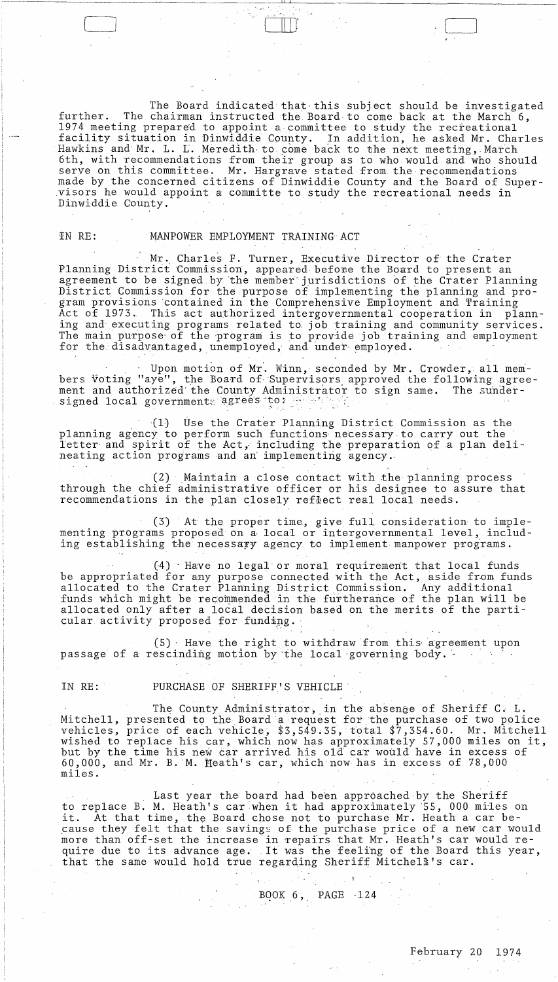The Board indicated that this subject should be investigated The chairman instructed the Board to come back at the March 6, further. 1974 meeting prepared to appoint a committee to study the recreational facility situation in Dinwiddie County. In addition, he asked Mr. Charles Hawkins and Mr. L. L. Meredith to come back to the next meeting, March 6th, with recommendations from their group as to who would and who should serve on this committee. Mr. Hargrave stated from the recommendations made by the concerned citizens of Dinwiddie County and the Board of Supervisors he would appoint a committe to study the recreational needs in Dinwiddie County.

# IN RE:

## MANPOWER EMPLOYMENT TRAINING ACT

Mr. Charles F. Turner, Executive Director of the Crater Planning District Commission, appeared before the Board to present an agreement to be signed by the member jurisdictions of the Crater Planning District Commission for the purpose of implementing the planning and program provisions contained in the Comprehensive Employment and Training Act of 1973. This act authorized intergovernmental cooperation in planning and executing programs related to job training and community services. The main purpose of the program is to provide job training and employment for the disadvantaged, unemployed, and under employed.

Upon motion of Mr. Winn, seconded by Mr. Crowder, all members voting "aye", the Board of Supervisors approved the following agreement and authorized the County Administrator to sign same. The sunder-<br>signed local governments agrees to:

(1) Use the Crater Planning District Commission as the planning agency to perform such functions necessary to carry out the letter and spirit of the Act, including the preparation of a plan delineating action programs and an implementing agency.

(2) Maintain a close contact with the planning process through the chief administrative officer or his designee to assure that recommendations in the plan closely reflect real local needs.

(3) At the proper time, give full consideration to implementing programs proposed on a local or intergovernmental level, including establishing the necessary agency to implement manpower programs.

(4) Have no legal or moral requirement that local funds be appropriated for any purpose connected with the Act, aside from funds allocated to the Crater Planning District Commission. Any additional<br>funds which might be recommended in the furtherance of the plan will be allocated only after a local decision based on the merits of the particular activity proposed for funding.

 $(5)$  Have the right to withdraw from this agreement upon passage of a rescinding motion by the local governing body.

# IN RE:

# PURCHASE OF SHERIFF'S VEHICLE

The County Administrator, in the absenge of Sheriff C. L. Mitchell, presented to the Board a request for the purchase of two police<br>vehicles, price of each vehicle, \$3,549.35, total \$7,354.60. Mr. Mitchell<br>wished to replace his car, which now has approximately 57,000 miles on it, 60,000, and Mr. B. M. Heath's car, which now has in excess of 78,000 miles.

Last year the board had been approached by the Sheriff to replace B. M. Heath's car when it had approximately 55, 000 miles on At that time, the Board chose not to purchase Mr. Heath a car be ıt. cause they felt that the savings of the purchase price of a new car would more than off-set the increase in repairs that Mr. Heath's car would re-<br>quire due to its advance age. It was the feeling of the Board this year,<br>that the same would hold true regarding Sheriff Mitchell's car.

BOOK  $6$ , PAGE  $-124$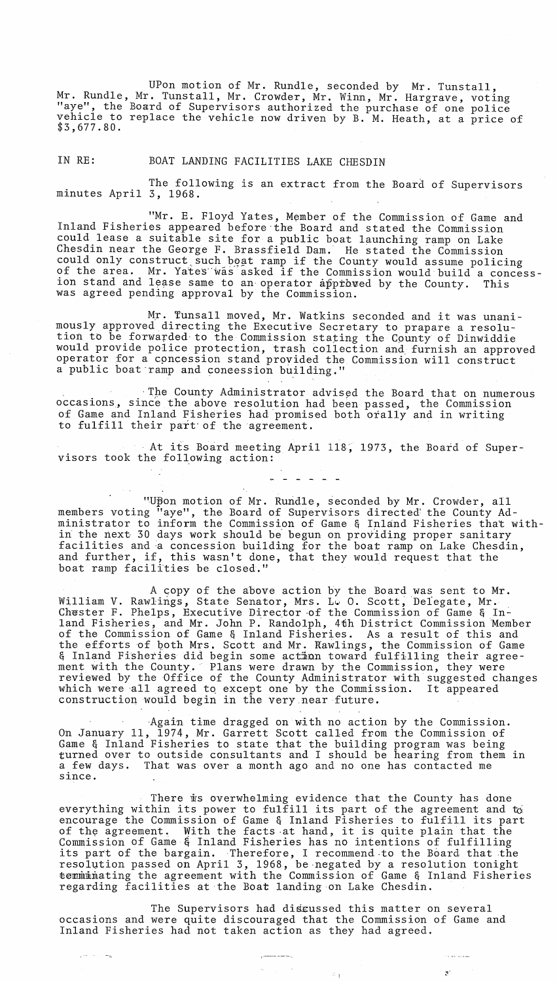UPon motion of Mr. Rundle, seconded by Mr. Tunstall, Mr. Rundle, Mr. Tunstall, Mr. Crowder, Mr. Winn, Mr. Hargrave, voting "aye", the Board of Supervisors authorized the purchase of one police vehicle to replace the vehicle now driven by B. M. Heath, at a price of \$3,677.80.

IN RE: BOAT LANDING FACILITIES LAKE CHESDIN

The following is an extract from the Board of Supervisors minutes April 3, 1968.

"Mr. E. Floyd Yates, Member of the Commission of Game and Inland Fisheries appeared before·the Board and stated the Commission could lease a suitable site for a public boat launching ramp on Lake Chesdin near the George F. Brassfield Dam. He stated the Commission could only construct such boat ramp if the County would assume policing of the area. Mr. Yates"was asked if the Commission would build a concession stand and lease same to an operator approved by the County. This was agreed pending approval by the Commission.

Mr. Tunsall moved, Mr. Watkins seconded and it was unanimously approved directing the Executive Secretary to prapare a resolution to be forwarded-to the Commission stating the Cpunty of Dinwiddie would provide police protection, trash collection and. furnish an approved operator for a cpncession stand provided the Commission will construct a public boat-ramp and coneession building."

· The County Administrator advised the Board that on numerous occasions, since the above resolution had been passed, the Commission of Game and Inland Fisheries had promised both orally and in writing to fulfill their part of the agreement.

At its Board meeting April 118; 1973, the Board of Supervisors took the following action:

"Upon motion of Mr. Rundle, seconded by Mr. Crowder, all members voting "aye", the Board of Supervisors directed' the County Administrator to inform the Commission of Game & Inland Fisheries that within the next 30 days work should be begun on providing proper sanitary facilities and a concession building for the boat ramp on Lake Chesdin, and further, if, this wasn't done, that they would request that the boat ramp facilities be closed."

. . . . . .

A copy of the above action by the Board was sent to Mr. William V. Rawlings, State Senator, Mrs. L. O. Scott, Delegate, Mr.<br>Chester F. Phelps, Executive Director of the Commission of Game & Inland Fisheries, and Mr. John P. Randolph, 4th District Commission Member of the Commission of Game & Inland Fisheries. As a result of this and the efforts of both Mrs. Scott and Mr. Rawlings, the Commission of Game and Silvice of goen mot sected and mit hawiings, the commission of came ment with the County.'" Plans were drawn by the Commission, they were reviewed by the Office of the County Administrator with suggested changes reviewed by the office of the county Administrator with suggested one which were all agreed to except one by the Commission. It appeared construction would begin in the very\_near future.

 $A$ gain time dragged on with no action by the Commission. On January 11, 1974, Mr. Garrett Scott called from the Commission of Game & Inland Fisheries to state that the building program was being turned over to outside consultants and I should be hearing from them in a few days. That was over a month ago and no one has contacted me since.

There is overwhelming evidence that the County has done everything within its power to fulfill its part of the agreement and  $\tau_0$ encourage the Commission of Game & Inland Fisheries to fulfill its part of the agreement. With the facts at hand, it is quite plain that the Commission of Game & Inland Fisheries has no intentions of fulfilling doministich of dame q initial fisicities has no intentions of fullifiting<br>its part of the bargain. Therefore, I recommend to the Board that the resolution passed on April 3, 1968, be negated by a resolution tonight terminating the agreement with the Commission of Game & Inland Fisheries regarding facilities at the Boat landing on Lake Chesdin.

The Supervisors had discussed this matter on several occasions and were quite discouraged that the Commission of Game and Inland Fisheries had not taken action as they had agreed.

> $\mu^{\rm nonreson}$  is a matrix of  $\sim 10$

一度的な

 $\omega_{\rm{max}}$ 

 $\tau^{2\alpha\beta\gamma\gamma\delta}$  ,  $\tau^{2\alpha\beta\gamma\delta}$ 

:  $\mathcal{F}$  ,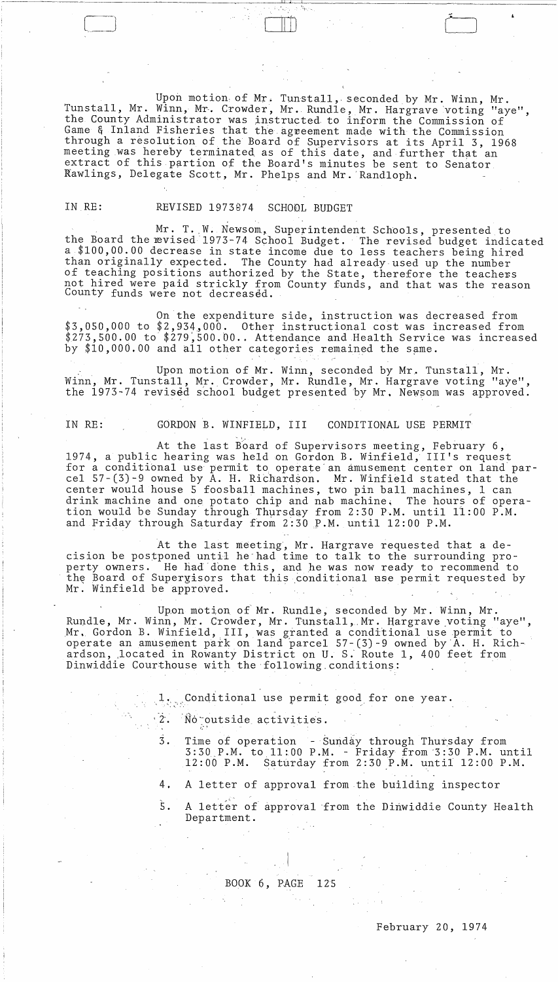Upon motion of Mr. Tunstall, seconded by Mr. Winn, Mr.<br>Tunstall, Mr. Winn, Mr. Crowder, Mr. Rundle, Mr. Hargrave voting "aye", the County Administrator was instructed to inform the Commission of<br>Game & Inland Fisheries that the agreement made with the Commission<br>through a resolution of the Board of Supervisors at its April 3, 1968<br>meeting was here Rawlings, Delegate Scott, Mr. Phelps and Mr. Randloph.

### IN RE:

#### SCHOOL BUDGET REVISED 1973074

Mr. T. W. Newsom, Superintendent Schools, presented to<br>the Board the evised 1973-74 School Budget. The revised budget indicated a \$100,00.00 decrease in state income due to less teachers being hired than originally expected. The County had already used up the number of teaching positions authorized by the State, therefore the teachers not hired were paid strickly from County funds, and that was the reason County funds were not decreased.

On the expenditure side, instruction was decreased from \$3,050,000 to \$2,934,000. Other instructional cost was increased from \$273,500.00 to \$279,500.00.. Attendance and Health Service was increased by \$10,000.00 and all other categories remained the same.

Upon motion of Mr. Winn, seconded by Mr. Tunstall, Mr.<br>Winn, Mr. Tunstall, Mr. Crowder, Mr. Rundle, Mr. Hargrave voting "aye", the 1973-74 revised school budget presented by Mr. Newsom was approved.

IN RE:

#### GORDON B. WINFIELD, III CONDITIONAL USE PERMIT

At the last Board of Supervisors meeting, February 6, 1974, a public hearing was held on Gordon B. Winfield, III's request for a conditional use permit to operate an amusement center on land par-<br>cel 57-(3)-9 owned by A. H. Richardson. Mr. Winfield stated that the<br>center would house 5 foosball machines, two pin ball machines, 1 can drink machine and one potato chip and nab machine. The hours of opera-<br>tion would be Sunday through Thursday from 2:30 P.M. until 11:00 P.M.<br>and Friday through Saturday from 2:30 P.M. until 12:00 P.M.

At the last meeting, Mr. Hargrave requested that a decision be postponed until he had time to talk to the surrounding property owners. He had done this, and he was now ready to recommend to the Board of Supergisors that this conditional use permit requested by Mr. Winfield be approved.

Upon motion of Mr. Rundle, seconded by Mr. Winn, Mr. Rundle, Mr. Winn, Mr. Crowder, Mr. Tunstall, Mr. Hargrave voting "aye", Mr. Gordon B. Winfield, III, was granted a conditional use permit to<br>operate an amusement park on land parcel 57-(3)-9 owned by A. H. Rich-<br>ardson, located in Rowanty District on U. S. Route 1, 400 feet from<br>Dinwiddie Cour

1, Conditional use permit good for one year.

- $\frac{2}{3}$ No outside activities.
	- $3.$ Time of operation - Sunday through Thursday from<br>3:30 P.M. to 11:00 P.M. - Friday from 3:30 P.M. until 12:00 P.M. Saturday from 2:30 P.M. until 12:00 P.M.
	- 4. A letter of approval from the building inspector
	- Ś. A letter of approval from the Dinwiddie County Health Department.

### BOOK 6, PAGE 125

# February 20, 1974